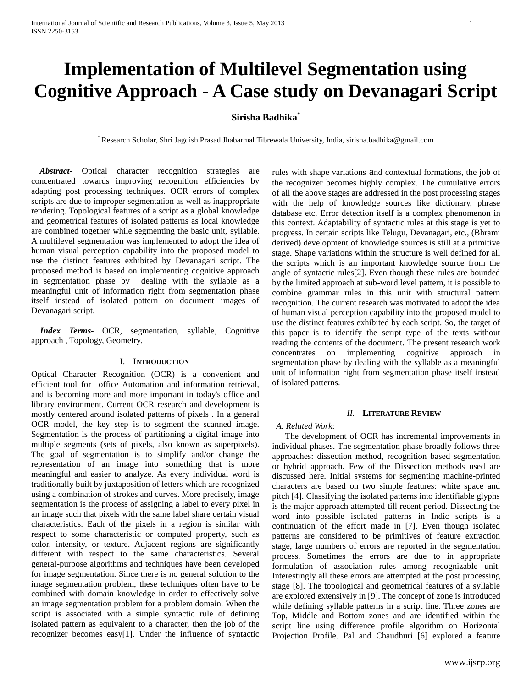# **Implementation of Multilevel Segmentation using Cognitive Approach - A Case study on Devanagari Script**

# **Sirisha Badhika\***

\* Research Scholar, Shri Jagdish Prasad Jhabarmal Tibrewala University, India, sirisha.badhika@gmail.com

 *Abstract***-** Optical character recognition strategies are concentrated towards improving recognition efficiencies by adapting post processing techniques. OCR errors of complex scripts are due to improper segmentation as well as inappropriate rendering. Topological features of a script as a global knowledge and geometrical features of isolated patterns as local knowledge are combined together while segmenting the basic unit, syllable. A multilevel segmentation was implemented to adopt the idea of human visual perception capability into the proposed model to use the distinct features exhibited by Devanagari script. The proposed method is based on implementing cognitive approach in segmentation phase by dealing with the syllable as a meaningful unit of information right from segmentation phase itself instead of isolated pattern on document images of Devanagari script.

 *Index Terms*- OCR, segmentation, syllable, Cognitive approach , Topology, Geometry.

#### I. **INTRODUCTION**

Optical Character Recognition (OCR) is a convenient and efficient tool for office Automation and information retrieval, and is becoming more and more important in today's office and library environment. Current OCR research and development is mostly centered around isolated patterns of pixels . In a general OCR model, the key step is to segment the scanned image. Segmentation is the process of partitioning a digital image into multiple segments (sets of pixels, also known as superpixels). The goal of segmentation is to simplify and/or change the representation of an image into something that is more meaningful and easier to analyze. As every individual word is traditionally built by juxtaposition of letters which are recognized using a combination of strokes and curves. More precisely, image segmentation is the process of assigning a label to every pixel in an image such that pixels with the same label share certain visual characteristics. Each of the pixels in a region is similar with respect to some characteristic or computed property, such as color, intensity, or texture. Adjacent regions are significantly different with respect to the same characteristics. Several general-purpose algorithms and techniques have been developed for image segmentation. Since there is no general solution to the image segmentation problem, these techniques often have to be combined with domain knowledge in order to effectively solve an image segmentation problem for a problem domain. When the script is associated with a simple syntactic rule of defining isolated pattern as equivalent to a character, then the job of the recognizer becomes easy[1]. Under the influence of syntactic rules with shape variations and contextual formations, the job of the recognizer becomes highly complex. The cumulative errors of all the above stages are addressed in the post processing stages with the help of knowledge sources like dictionary, phrase database etc. Error detection itself is a complex phenomenon in this context. Adaptability of syntactic rules at this stage is yet to progress. In certain scripts like Telugu, Devanagari, etc., (Bhrami derived) development of knowledge sources is still at a primitive stage. Shape variations within the structure is well defined for all the scripts which is an important knowledge source from the angle of syntactic rules[2]. Even though these rules are bounded by the limited approach at sub-word level pattern, it is possible to combine grammar rules in this unit with structural pattern recognition. The current research was motivated to adopt the idea of human visual perception capability into the proposed model to use the distinct features exhibited by each script. So, the target of this paper is to identify the script type of the texts without reading the contents of the document. The present research work concentrates on implementing cognitive approach in segmentation phase by dealing with the syllable as a meaningful unit of information right from segmentation phase itself instead of isolated patterns.

#### *II.* **LITERATURE REVIEW**

#### *A. Related Work:*

The development of OCR has incremental improvements in individual phases. The segmentation phase broadly follows three approaches: dissection method, recognition based segmentation or hybrid approach. Few of the Dissection methods used are discussed here. Initial systems for segmenting machine-printed characters are based on two simple features: white space and pitch [4]. Classifying the isolated patterns into identifiable glyphs is the major approach attempted till recent period. Dissecting the word into possible isolated patterns in Indic scripts is a continuation of the effort made in [7]. Even though isolated patterns are considered to be primitives of feature extraction stage, large numbers of errors are reported in the segmentation process. Sometimes the errors are due to in appropriate formulation of association rules among recognizable unit. Interestingly all these errors are attempted at the post processing stage [8]. The topological and geometrical features of a syllable are explored extensively in [9]. The concept of zone is introduced while defining syllable patterns in a script line. Three zones are Top, Middle and Bottom zones and are identified within the script line using difference profile algorithm on Horizontal Projection Profile. Pal and Chaudhuri [6] explored a feature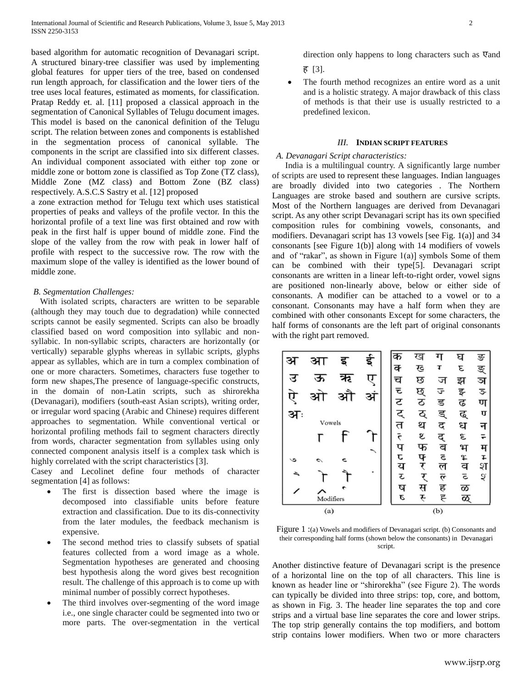based algorithm for automatic recognition of Devanagari script. A structured binary-tree classifier was used by implementing global features for upper tiers of the tree, based on condensed run length approach, for classification and the lower tiers of the tree uses local features, estimated as moments, for classification. Pratap Reddy et. al. [11] proposed a classical approach in the segmentation of Canonical Syllables of Telugu document images. This model is based on the canonical definition of the Telugu script. The relation between zones and components is established in the segmentation process of canonical syllable. The components in the script are classified into six different classes. An individual component associated with either top zone or middle zone or bottom zone is classified as Top Zone (TZ class), Middle Zone (MZ class) and Bottom Zone (BZ class) respectively. A.S.C.S Sastry et al. [12] proposed

a zone extraction method for Telugu text which uses statistical properties of peaks and valleys of the profile vector. In this the horizontal profile of a text line was first obtained and row with peak in the first half is upper bound of middle zone. Find the slope of the valley from the row with peak in lower half of profile with respect to the successive row. The row with the maximum slope of the valley is identified as the lower bound of middle zone.

# *B. Segmentation Challenges:*

 With isolated scripts, characters are written to be separable (although they may touch due to degradation) while connected scripts cannot be easily segmented. Scripts can also be broadly classified based on word composition into syllabic and nonsyllabic. In non-syllabic scripts, characters are horizontally (or vertically) separable glyphs whereas in syllabic scripts, glyphs appear as syllables, which are in turn a complex combination of one or more characters. Sometimes, characters fuse together to form new shapes,The presence of language-specific constructs, in the domain of non-Latin scripts, such as shirorekha (Devanagari), modifiers (south-east Asian scripts), writing order, or irregular word spacing (Arabic and Chinese) requires different approaches to segmentation. While conventional vertical or horizontal profiling methods fail to segment characters directly from words, character segmentation from syllables using only connected component analysis itself is a complex task which is highly correlated with the script characteristics [3].

Casey and Lecolinet define four methods of character segmentation [4] as follows:

- The first is dissection based where the image is decomposed into classifiable units before feature extraction and classification. Due to its dis-connectivity from the later modules, the feedback mechanism is expensive.
- The second method tries to classify subsets of spatial features collected from a word image as a whole. Segmentation hypotheses are generated and choosing best hypothesis along the word gives best recognition result. The challenge of this approach is to come up with minimal number of possibly correct hypotheses.
- The third involves over-segmenting of the word image i.e., one single character could be segmented into two or more parts. The over-segmentation in the vertical

direction only happens to long characters such as एand ह [3].

 The fourth method recognizes an entire word as a unit and is a holistic strategy. A major drawback of this class of methods is that their use is usually restricted to a predefined lexicon.

#### *III.* **INDIAN SCRIPT FEATURES**

#### *A. Devanagari Script characteristics:*

India is a multilingual country. A significantly large number of scripts are used to represent these languages. Indian languages are broadly divided into two categories . The Northern Languages are stroke based and southern are cursive scripts. Most of the Northern languages are derived from Devanagari script. As any other script Devanagari script has its own specified composition rules for combining vowels, consonants, and modifiers. Devanagari script has 13 vowels [see Fig. 1(a)] and 34 consonants [see Figure 1(b)] along with 14 modifiers of vowels and of "rakar", as shown in Figure  $1(a)$ ] symbols Some of them can be combined with their type[5]. Devanagari script consonants are written in a linear left-to-right order, vowel signs are positioned non-linearly above, below or either side of consonants. A modifier can be attached to a vowel or to a consonant. Consonants may have a half form when they are combined with other consonants Except for some characters, the half forms of consonants are the left part of original consonants with the right part removed.



Figure 1 :(a) Vowels and modifiers of Devanagari script. (b) Consonants and their corresponding half forms (shown below the consonants) in Devanagari script.

Another distinctive feature of Devanagari script is the presence of a horizontal line on the top of all characters. This line is known as header line or "shirorekha" (see Figure 2). The words can typically be divided into three strips: top, core, and bottom, as shown in Fig. 3. The header line separates the top and core strips and a virtual base line separates the core and lower strips. The top strip generally contains the top modifiers, and bottom strip contains lower modifiers. When two or more characters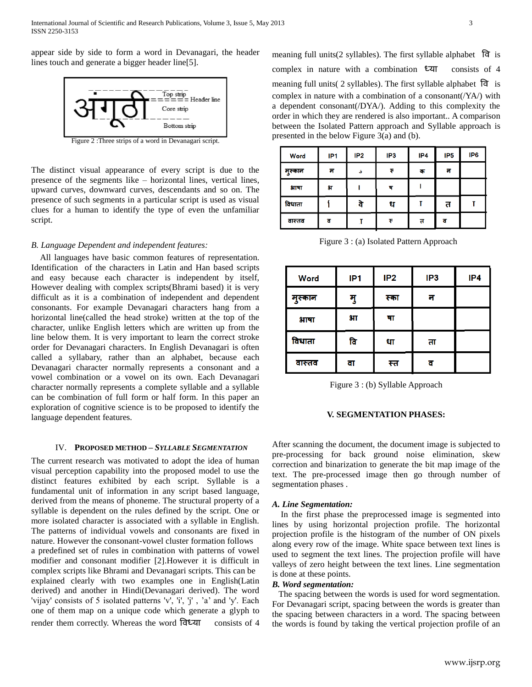appear side by side to form a word in Devanagari, the header lines touch and generate a bigger header line[5].



Figure 2 :Three strips of a word in Devanagari script.

The distinct visual appearance of every script is due to the presence of the segments like – horizontal lines, vertical lines, upward curves, downward curves, descendants and so on. The presence of such segments in a particular script is used as visual clues for a human to identify the type of even the unfamiliar script.

# *B. Language Dependent and independent features:*

 All languages have basic common features of representation. Identification of the characters in Latin and Han based scripts and easy because each character is independent by itself, However dealing with complex scripts(Bhrami based) it is very difficult as it is a combination of independent and dependent consonants. For example Devanagari characters hang from a horizontal line(called the head stroke) written at the top of the character, unlike English letters which are written up from the line below them. It is very important to learn the correct stroke order for Devanagari characters. In English Devanagari is often called a syllabary, rather than an alphabet, because each Devanagari character normally represents a consonant and a vowel combination or a vowel on its own. Each Devanagari character normally represents a complete syllable and a syllable can be combination of full form or half form. In this paper an exploration of cognitive science is to be proposed to identify the language dependent features.

# IV. **PROPOSED METHOD –** *SYLLABLE SEGMENTATION*

The current research was motivated to adopt the idea of human visual perception capability into the proposed model to use the distinct features exhibited by each script. Syllable is a fundamental unit of information in any script based language, derived from the means of phoneme. The structural property of a syllable is dependent on the rules defined by the script. One or more isolated character is associated with a syllable in English. The patterns of individual vowels and consonants are fixed in nature. However the consonant-vowel cluster formation follows a predefined set of rules in combination with patterns of vowel modifier and consonant modifier [2].However it is difficult in complex scripts like Bhrami and Devanagari scripts. This can be explained clearly with two examples one in English(Latin derived) and another in Hindi(Devanagari derived). The word 'vijay' consists of 5 isolated patterns 'v', 'i', 'j' , 'a' and 'y'. Each one of them map on a unique code which generate a glyph to render them correctly. Whereas the word विध्या consists of 4

meaning full units(2 syllables). The first syllable alphabet वि is complex in nature with a combination ध्या consists of 4 meaning full units( 2 syllables). The first syllable alphabet वि is complex in nature with a combination of a consonant(/YA/) with a dependent consonant(/DYA/). Adding to this complexity the order in which they are rendered is also important.. A comparison between the Isolated Pattern approach and Syllable approach is presented in the below Figure 3(a) and (b).

| Word    | IP <sub>1</sub> | IP <sub>2</sub> | IP3 | IP4 | IP <sub>5</sub> | IP <sub>6</sub> |
|---------|-----------------|-----------------|-----|-----|-----------------|-----------------|
| मुस्कान | म               | ه               | ₹   | क   | न               |                 |
| आषा     | 9T              |                 | ष   |     |                 |                 |
| विधाता  |                 | वे              | ध   |     | त               |                 |
| वास्तव  | व               |                 | ₹   | त   | ਰ               |                 |

Figure 3 : (a) Isolated Pattern Approach

| <b>Word</b> | IP <sub>1</sub> | IP <sub>2</sub> | IP <sub>3</sub> | IP4 |
|-------------|-----------------|-----------------|-----------------|-----|
| मुस्कान     | मु              | स्का            | न               |     |
| भाषा        | $3\pi$          | षा              |                 |     |
| विधाता      | वि              | धा              | ता              |     |
| वास्तव      | वा              | स्त             |                 |     |

Figure 3 : (b) Syllable Approach

# **V. SEGMENTATION PHASES:**

After scanning the document, the document image is subjected to pre-processing for back ground noise elimination, skew correction and binarization to generate the bit map image of the text. The pre-processed image then go through number of segmentation phases .

# *A. Line Segmentation:*

In the first phase the preprocessed image is segmented into lines by using horizontal projection profile. The horizontal projection profile is the histogram of the number of ON pixels along every row of the image. White space between text lines is used to segment the text lines. The projection profile will have valleys of zero height between the text lines. Line segmentation is done at these points.

#### *B. Word segmentation:*

The spacing between the words is used for word segmentation. For Devanagari script, spacing between the words is greater than the spacing between characters in a word. The spacing between the words is found by taking the vertical projection profile of an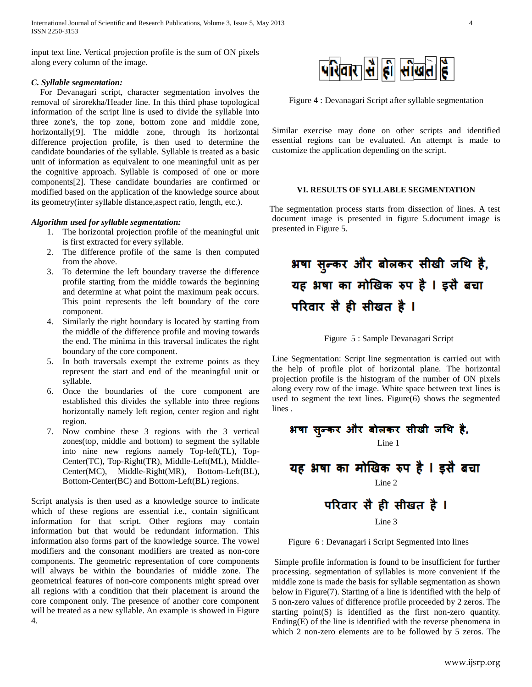input text line. Vertical projection profile is the sum of ON pixels along every column of the image.

# *C. Syllable segmentation:*

For Devanagari script, character segmentation involves the removal of sirorekha/Header line. In this third phase topological information of the script line is used to divide the syllable into three zone's, the top zone, bottom zone and middle zone, horizontally<sup>[9]</sup>. The middle zone, through its horizontal difference projection profile, is then used to determine the candidate boundaries of the syllable. Syllable is treated as a basic unit of information as equivalent to one meaningful unit as per the cognitive approach. Syllable is composed of one or more components[2]. These candidate boundaries are confirmed or modified based on the application of the knowledge source about its geometry(inter syllable distance,aspect ratio, length, etc.).

# *Algorithm used for syllable segmentation:*

- 1. The horizontal projection profile of the meaningful unit is first extracted for every syllable.
- 2. The difference profile of the same is then computed from the above.
- 3. To determine the left boundary traverse the difference profile starting from the middle towards the beginning and determine at what point the maximum peak occurs. This point represents the left boundary of the core component.
- 4. Similarly the right boundary is located by starting from the middle of the difference profile and moving towards the end. The minima in this traversal indicates the right boundary of the core component.
- 5. In both traversals exempt the extreme points as they represent the start and end of the meaningful unit or syllable.
- 6. Once the boundaries of the core component are established this divides the syllable into three regions horizontally namely left region, center region and right region.
- 7. Now combine these 3 regions with the 3 vertical zones(top, middle and bottom) to segment the syllable into nine new regions namely Top-left(TL), Top-Center(TC), Top-Right(TR), Middle-Left(ML), Middle-Center(MC), Middle-Right(MR), Bottom-Left(BL), Bottom-Center(BC) and Bottom-Left(BL) regions.

Script analysis is then used as a knowledge source to indicate which of these regions are essential i.e., contain significant information for that script. Other regions may contain information but that would be redundant information. This information also forms part of the knowledge source. The vowel modifiers and the consonant modifiers are treated as non-core components. The geometric representation of core components will always be within the boundaries of middle zone. The geometrical features of non-core components might spread over all regions with a condition that their placement is around the core component only. The presence of another core component will be treated as a new syllable. An example is showed in Figure 4.



Figure 4 : Devanagari Script after syllable segmentation

Similar exercise may done on other scripts and identified essential regions can be evaluated. An attempt is made to customize the application depending on the script.

# **VI. RESULTS OF SYLLABLE SEGMENTATION**

 The segmentation process starts from dissection of lines. A test document image is presented in figure 5.document image is presented in Figure 5.

# भषा सुन्कर और बोलकर सीखी जथि है, यह भषा का मोखिक रुप है । इसै बचा परिवार सै ही सीखत है ।

Figure 5 : Sample Devanagari Script

Line Segmentation: Script line segmentation is carried out with the help of profile plot of horizontal plane. The horizontal projection profile is the histogram of the number of ON pixels along every row of the image. White space between text lines is used to segment the text lines. Figure(6) shows the segmented lines.

 Line 1 Line 2 Line 3

Figure 6 : Devanagari i Script Segmented into lines

Simple profile information is found to be insufficient for further processing. segmentation of syllables is more convenient if the middle zone is made the basis for syllable segmentation as shown below in Figure(7). Starting of a line is identified with the help of 5 non-zero values of difference profile proceeded by 2 zeros. The starting point(S) is identified as the first non-zero quantity. Ending(E) of the line is identified with the reverse phenomena in which 2 non-zero elements are to be followed by 5 zeros. The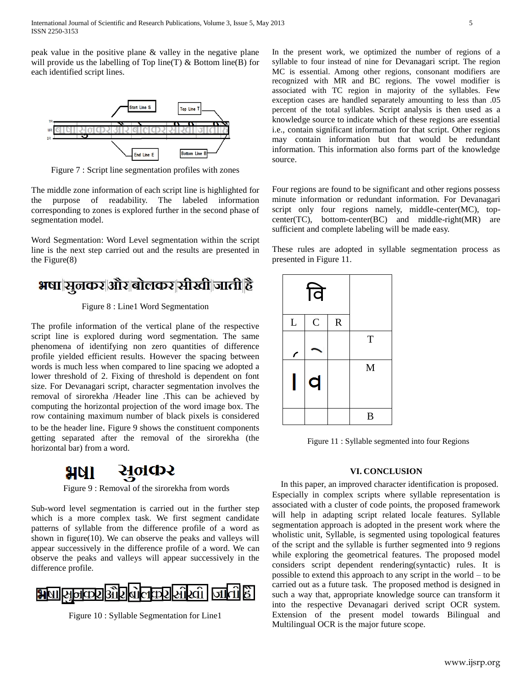peak value in the positive plane & valley in the negative plane will provide us the labelling of Top line(T)  $\&$  Bottom line(B) for each identified script lines.



Figure 7 : Script line segmentation profiles with zones

The middle zone information of each script line is highlighted for the purpose of readability. The labeled information corresponding to zones is explored further in the second phase of segmentation model.

Word Segmentation: Word Level segmentation within the script line is the next step carried out and the results are presented in the Figure(8)

# **भषा सूलकर और बोलकर सीखी जाती है**

Figure 8 : Line1 Word Segmentation

The profile information of the vertical plane of the respective script line is explored during word segmentation. The same phenomena of identifying non zero quantities of difference profile yielded efficient results. However the spacing between words is much less when compared to line spacing we adopted a lower threshold of 2. Fixing of threshold is dependent on font size. For Devanagari script, character segmentation involves the removal of sirorekha /Header line .This can be achieved by computing the horizontal projection of the word image box. The row containing maximum number of black pixels is considered to be the header line. Figure 9 shows the constituent components getting separated after the removal of the sirorekha (the horizontal bar) from a word.



Figure 9 : Removal of the sirorekha from words

Sub-word level segmentation is carried out in the further step which is a more complex task. We first segment candidate patterns of syllable from the difference profile of a word as shown in figure(10). We can observe the peaks and valleys will appear successively in the difference profile of a word. We can observe the peaks and valleys will appear successively in the difference profile.



Figure 10 : Syllable Segmentation for Line1

In the present work, we optimized the number of regions of a syllable to four instead of nine for Devanagari script. The region MC is essential. Among other regions, consonant modifiers are recognized with MR and BC regions. The vowel modifier is associated with TC region in majority of the syllables. Few exception cases are handled separately amounting to less than .05 percent of the total syllables. Script analysis is then used as a knowledge source to indicate which of these regions are essential i.e., contain significant information for that script. Other regions may contain information but that would be redundant information. This information also forms part of the knowledge source.

Four regions are found to be significant and other regions possess minute information or redundant information. For Devanagari script only four regions namely, middle-center(MC), topcenter(TC), bottom-center(BC) and middle-right(MR) are sufficient and complete labeling will be made easy.

These rules are adopted in syllable segmentation process as presented in Figure 11.

|   | वि             |             |   |
|---|----------------|-------------|---|
| L | $\overline{C}$ | $\mathbf R$ |   |
| r |                |             | T |
|   | q              |             | M |
|   |                |             | B |

Figure 11 : Syllable segmented into four Regions

# **VI. CONCLUSION**

In this paper, an improved character identification is proposed. Especially in complex scripts where syllable representation is associated with a cluster of code points, the proposed framework will help in adapting script related locale features. Syllable segmentation approach is adopted in the present work where the wholistic unit, Syllable, is segmented using topological features of the script and the syllable is further segmented into 9 regions while exploring the geometrical features. The proposed model considers script dependent rendering(syntactic) rules. It is possible to extend this approach to any script in the world – to be carried out as a future task. The proposed method is designed in such a way that, appropriate knowledge source can transform it into the respective Devanagari derived script OCR system. Extension of the present model towards Bilingual and Multilingual OCR is the major future scope.